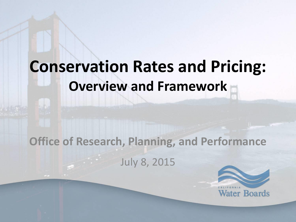## **Conservation Rates and Pricing: Overview and Framework**

#### **Office of Research, Planning, and Performance** July 8, 2015

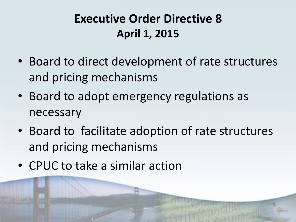#### **Executive Order Directive 8 April 1, 2015**

- Board to direct development of rate structures and pricing mechanisms
- Board to adopt emergency regulations as necessary
- Board to facilitate adoption of rate structures and pricing mechanisms
- CPUC to take a similar action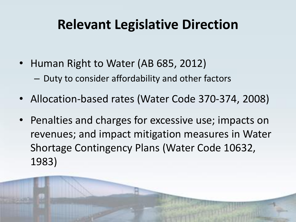#### **Relevant Legislative Direction**

- Human Right to Water (AB 685, 2012) – Duty to consider affordability and other factors
- Allocation-based rates (Water Code 370-374, 2008)
- Penalties and charges for excessive use; impacts on revenues; and impact mitigation measures in Water Shortage Contingency Plans (Water Code 10632, 1983)

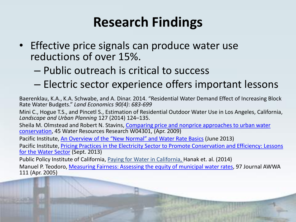#### **Research Findings**

- Effective price signals can produce water use reductions of over 15%.
	- Public outreach is critical to success
	- Electric sector experience offers important lessons

Baerenklau, K.A., K.A. Schwabe, and A. Dinar. 2014. "Residential Water Demand Effect of Increasing Block Rate Water Budgets." *Land Economics 90(4)*: *683-699*

Mini C., Hogue T.S., and Pincetl S., Estimation of Residential Outdoor Water Use in Los Angeles, California, *Landscape and Urban Planning* 127 (2014) 124–135.

Sheila M. Olmstead and Robert N. Stavins, [Comparing price and nonprice](http://www.hks.harvard.edu/fs/rstavins/Papers/Olmstead_Stavins_Water_Resources_Research.pdf) approaches to urban water [conservation,](http://www.hks.harvard.edu/fs/rstavins/Papers/Olmstead_Stavins_Water_Resources_Research.pdf) 45 Water Resources Research W04301, (Apr. 2009)

Pacific Institute, [An Overview of the "New Normal" and Water Rate Basics](http://pacinst.org/wpcontent/uploads/sites/21/2013/06/pacinst-new-normaland-water-rate-basics.pdf) (June 2013)

Pacific Institute, [Pricing Practices in the Electricity Sector to Promote Conservation and Efficiency: Lessons](http://pacinst.org/wpcontent/uploads/sites/21/2013/09/pacinst-pricingpractices-full-report.pdf)  [for the Water Sector](http://pacinst.org/wpcontent/uploads/sites/21/2013/09/pacinst-pricingpractices-full-report.pdf) (Sept. 2013)

Public Policy Institute of California, Paying for Water in California, Hanak et. al. (2014)

Manuel P. Teodoro, [Measuring Fairness: Assessing the equity of municipal water rates,](http://www.awwa.org/publications/journalawwa/abstract/articleid/15225.aspx) 97 Journal AWWA 111 (Apr. 2005)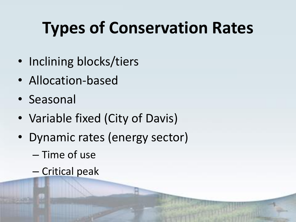# **Types of Conservation Rates**

- Inclining blocks/tiers
- Allocation-based
- Seasonal
- Variable fixed (City of Davis)
- Dynamic rates (energy sector)
	- Time of use
	- Critical peak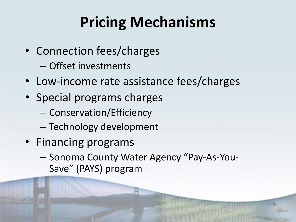## **Pricing Mechanisms**

- Connection fees/charges
	- Offset investments
- Low-income rate assistance fees/charges
- Special programs charges
	- Conservation/Efficiency
	- Technology development
- Financing programs
	- Sonoma County Water Agency "Pay-As-You-Save" (PAYS) program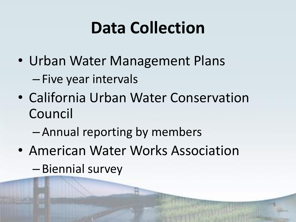# **Data Collection**

- Urban Water Management Plans – Five year intervals
- California Urban Water Conservation Council
	- Annual reporting by members
- American Water Works Association – Biennial survey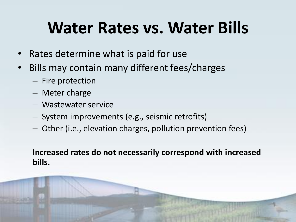## **Water Rates vs. Water Bills**

- Rates determine what is paid for use
- Bills may contain many different fees/charges
	- Fire protection
	- Meter charge
	- Wastewater service
	- System improvements (e.g., seismic retrofits)
	- Other (i.e., elevation charges, pollution prevention fees)

#### **Increased rates do not necessarily correspond with increased bills.**

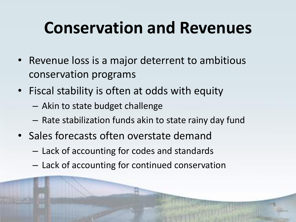# **Conservation and Revenues**

- Revenue loss is a major deterrent to ambitious conservation programs
- Fiscal stability is often at odds with equity
	- Akin to state budget challenge
	- Rate stabilization funds akin to state rainy day fund
- Sales forecasts often overstate demand
	- Lack of accounting for codes and standards
	- Lack of accounting for continued conservation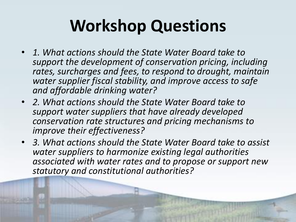# **Workshop Questions**

- *1. What actions should the State Water Board take to support the development of conservation pricing, including rates, surcharges and fees, to respond to drought, maintain water supplier fiscal stability, and improve access to safe and affordable drinking water?*
- *2. What actions should the State Water Board take to support water suppliers that have already developed conservation rate structures and pricing mechanisms to improve their effectiveness?*
- *3. What actions should the State Water Board take to assist water suppliers to harmonize existing legal authorities associated with water rates and to propose or support new statutory and constitutional authorities?*